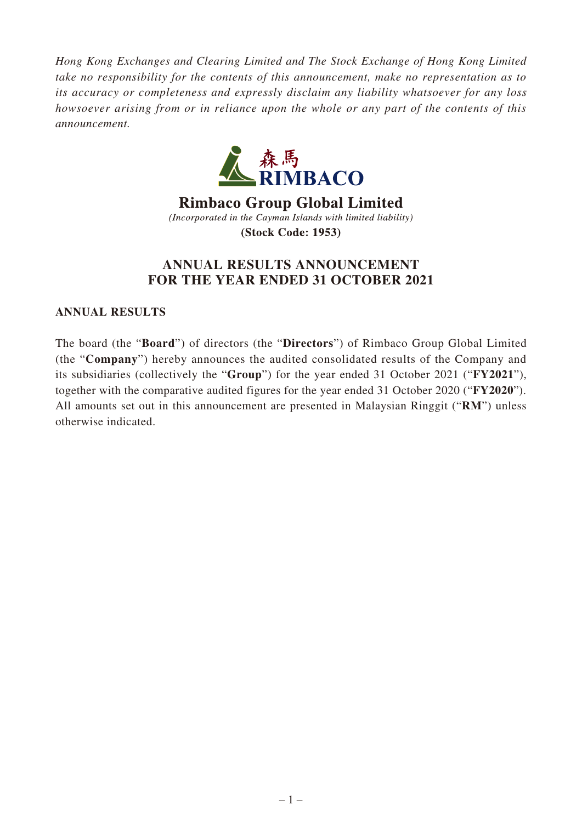*Hong Kong Exchanges and Clearing Limited and The Stock Exchange of Hong Kong Limited take no responsibility for the contents of this announcement, make no representation as to its accuracy or completeness and expressly disclaim any liability whatsoever for any loss howsoever arising from or in reliance upon the whole or any part of the contents of this announcement.*



**Rimbaco Group Global Limited** (Incorporated in the Cayman Islands with limited liability) **(Stock Code: 1953)** 

# **ANNUAL RESULTS ANNOUNCEMENT FOR THE YEAR ENDED 31 OCTOBER 2021**

**ANNUAL RESULTS**

The board (the "**Board**") of directors (the "**Directors**") of Rimbaco Group Global Limited (the "**Company**") hereby announces the audited consolidated results of the Company and its subsidiaries (collectively the "**Group**") for the year ended 31 October 2021 ("**FY2021**"), together with the comparative audited figures for the year ended 31 October 2020 ("**FY2020**"). All amounts set out in this announcement are presented in Malaysian Ringgit ("**RM**") unless otherwise indicated.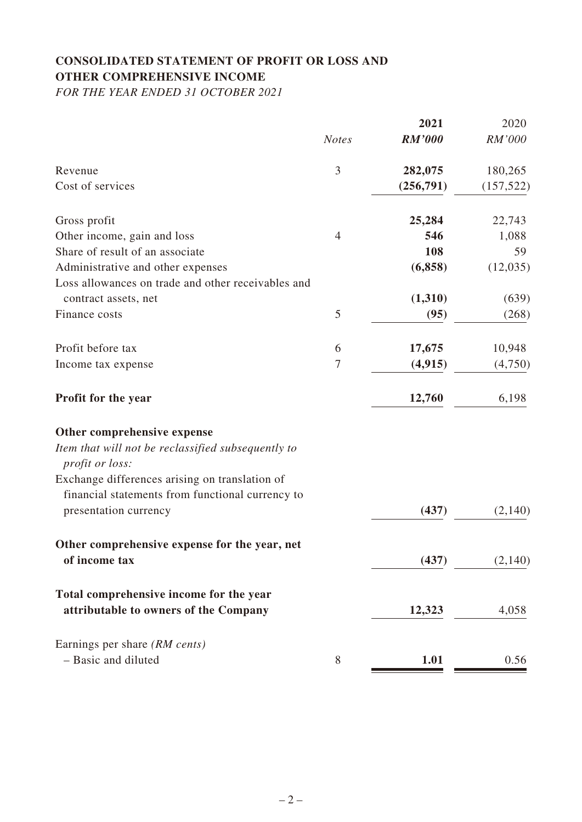# **CONSOLIDATED STATEMENT OF PROFIT OR LOSS AND OTHER COMPREHENSIVE INCOME**

*FOR THE YEAR ENDED 31 OCTOBER 2021*

|                                                                                                    |                | 2021          | 2020       |
|----------------------------------------------------------------------------------------------------|----------------|---------------|------------|
|                                                                                                    | <b>Notes</b>   | <b>RM'000</b> | RM'000     |
| Revenue                                                                                            | 3              | 282,075       | 180,265    |
| Cost of services                                                                                   |                | (256,791)     | (157, 522) |
| Gross profit                                                                                       |                | 25,284        | 22,743     |
| Other income, gain and loss                                                                        | $\overline{4}$ | 546           | 1,088      |
| Share of result of an associate                                                                    |                | 108           | 59         |
| Administrative and other expenses                                                                  |                | (6, 858)      | (12,035)   |
| Loss allowances on trade and other receivables and                                                 |                |               |            |
| contract assets, net                                                                               |                | (1,310)       | (639)      |
| Finance costs                                                                                      | 5              | (95)          | (268)      |
| Profit before tax                                                                                  | 6              | 17,675        | 10,948     |
| Income tax expense                                                                                 | 7              | (4, 915)      | (4,750)    |
| Profit for the year                                                                                |                | 12,760        | 6,198      |
| Other comprehensive expense                                                                        |                |               |            |
| Item that will not be reclassified subsequently to<br><i>profit or loss:</i>                       |                |               |            |
| Exchange differences arising on translation of<br>financial statements from functional currency to |                |               |            |
| presentation currency                                                                              |                | (437)         | (2,140)    |
| Other comprehensive expense for the year, net                                                      |                |               |            |
| of income tax                                                                                      |                | (437)         | (2,140)    |
| Total comprehensive income for the year                                                            |                |               |            |
| attributable to owners of the Company                                                              |                | 12,323        | 4,058      |
| Earnings per share (RM cents)                                                                      |                |               |            |
| - Basic and diluted                                                                                | 8              | 1.01          | 0.56       |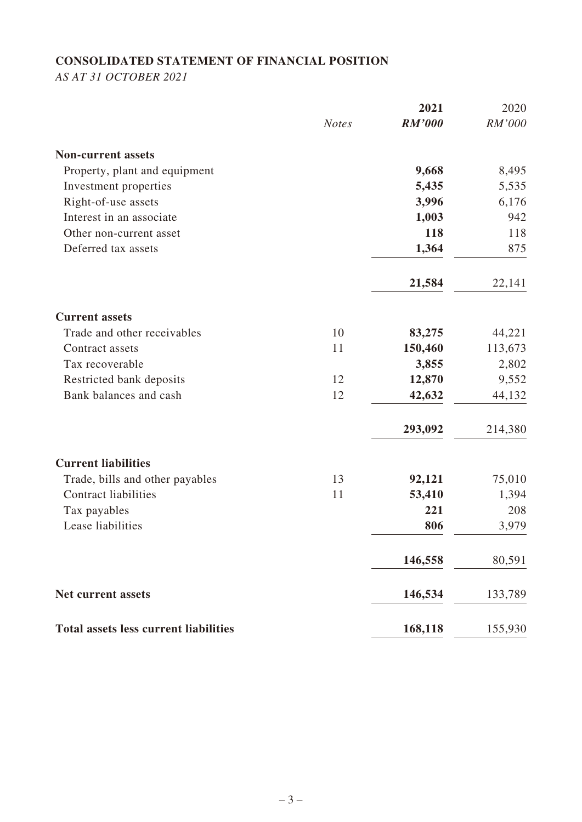# **CONSOLIDATED STATEMENT OF FINANCIAL POSITION**

*AS AT 31 OCTOBER 2021*

|                                              |              | 2021          | 2020    |
|----------------------------------------------|--------------|---------------|---------|
|                                              | <b>Notes</b> | <b>RM'000</b> | RM'000  |
| <b>Non-current assets</b>                    |              |               |         |
| Property, plant and equipment                |              | 9,668         | 8,495   |
| Investment properties                        |              | 5,435         | 5,535   |
| Right-of-use assets                          |              | 3,996         | 6,176   |
| Interest in an associate                     |              | 1,003         | 942     |
| Other non-current asset                      |              | 118           | 118     |
| Deferred tax assets                          |              | 1,364         | 875     |
|                                              |              | 21,584        | 22,141  |
| <b>Current assets</b>                        |              |               |         |
| Trade and other receivables                  | 10           | 83,275        | 44,221  |
| Contract assets                              | 11           | 150,460       | 113,673 |
| Tax recoverable                              |              | 3,855         | 2,802   |
| Restricted bank deposits                     | 12           | 12,870        | 9,552   |
| Bank balances and cash                       | 12           | 42,632        | 44,132  |
|                                              |              | 293,092       | 214,380 |
| <b>Current liabilities</b>                   |              |               |         |
| Trade, bills and other payables              | 13           | 92,121        | 75,010  |
| <b>Contract liabilities</b>                  | 11           | 53,410        | 1,394   |
| Tax payables                                 |              | 221           | 208     |
| Lease liabilities                            |              | 806           | 3,979   |
|                                              |              | 146,558       | 80,591  |
| <b>Net current assets</b>                    |              | 146,534       | 133,789 |
| <b>Total assets less current liabilities</b> |              | 168,118       | 155,930 |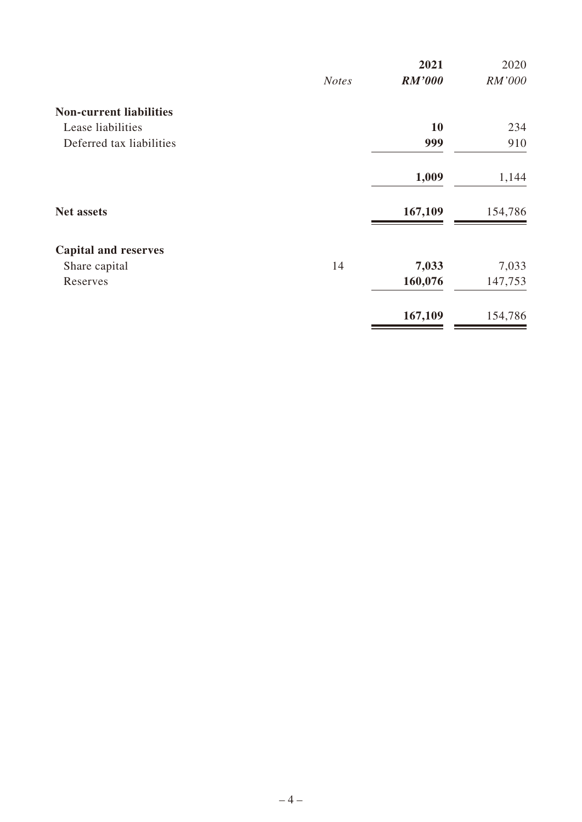|                                |              | 2021          | 2020    |
|--------------------------------|--------------|---------------|---------|
|                                | <b>Notes</b> | <b>RM'000</b> | RM'000  |
| <b>Non-current liabilities</b> |              |               |         |
| Lease liabilities              |              | <b>10</b>     | 234     |
| Deferred tax liabilities       |              | 999           | 910     |
|                                |              | 1,009         | 1,144   |
| <b>Net assets</b>              |              | 167,109       | 154,786 |
| <b>Capital and reserves</b>    |              |               |         |
| Share capital                  | 14           | 7,033         | 7,033   |
| Reserves                       |              | 160,076       | 147,753 |
|                                |              | 167,109       | 154,786 |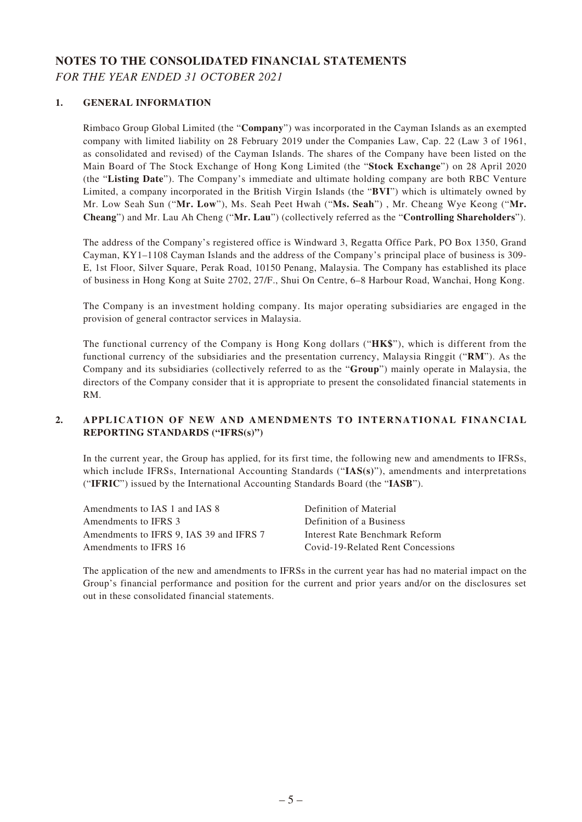# **NOTES TO THE CONSOLIDATED FINANCIAL STATEMENTS**

*FOR THE YEAR ENDED 31 OCTOBER 2021*

### **1. GENERAL INFORMATION**

Rimbaco Group Global Limited (the "**Company**") was incorporated in the Cayman Islands as an exempted company with limited liability on 28 February 2019 under the Companies Law, Cap. 22 (Law 3 of 1961, as consolidated and revised) of the Cayman Islands. The shares of the Company have been listed on the Main Board of The Stock Exchange of Hong Kong Limited (the "**Stock Exchange**") on 28 April 2020 (the "**Listing Date**"). The Company's immediate and ultimate holding company are both RBC Venture Limited, a company incorporated in the British Virgin Islands (the "**BVI**") which is ultimately owned by Mr. Low Seah Sun ("**Mr. Low**"), Ms. Seah Peet Hwah ("**Ms. Seah**") , Mr. Cheang Wye Keong ("**Mr. Cheang**") and Mr. Lau Ah Cheng ("**Mr. Lau**") (collectively referred as the "**Controlling Shareholders**").

The address of the Company's registered office is Windward 3, Regatta Office Park, PO Box 1350, Grand Cayman, KY1–1108 Cayman Islands and the address of the Company's principal place of business is 309- E, 1st Floor, Silver Square, Perak Road, 10150 Penang, Malaysia. The Company has established its place of business in Hong Kong at Suite 2702, 27/F., Shui On Centre, 6–8 Harbour Road, Wanchai, Hong Kong.

The Company is an investment holding company. Its major operating subsidiaries are engaged in the provision of general contractor services in Malaysia.

The functional currency of the Company is Hong Kong dollars ("**HK\$**"), which is different from the functional currency of the subsidiaries and the presentation currency, Malaysia Ringgit ("**RM**"). As the Company and its subsidiaries (collectively referred to as the "**Group**") mainly operate in Malaysia, the directors of the Company consider that it is appropriate to present the consolidated financial statements in RM.

### **2. APPLICATION OF NEW AND AMENDMENTS TO INTERNATIONAL FINANCIAL REPORTING STANDARDS ("IFRS(s)")**

In the current year, the Group has applied, for its first time, the following new and amendments to IFRSs, which include IFRSs, International Accounting Standards ("**IAS(s)**"), amendments and interpretations ("**IFRIC**") issued by the International Accounting Standards Board (the "**IASB**").

| Amendments to IAS 1 and IAS 8           | Definition of Material            |
|-----------------------------------------|-----------------------------------|
| Amendments to IFRS 3                    | Definition of a Business          |
| Amendments to IFRS 9. IAS 39 and IFRS 7 | Interest Rate Benchmark Reform    |
| Amendments to IFRS 16                   | Covid-19-Related Rent Concessions |

The application of the new and amendments to IFRSs in the current year has had no material impact on the Group's financial performance and position for the current and prior years and/or on the disclosures set out in these consolidated financial statements.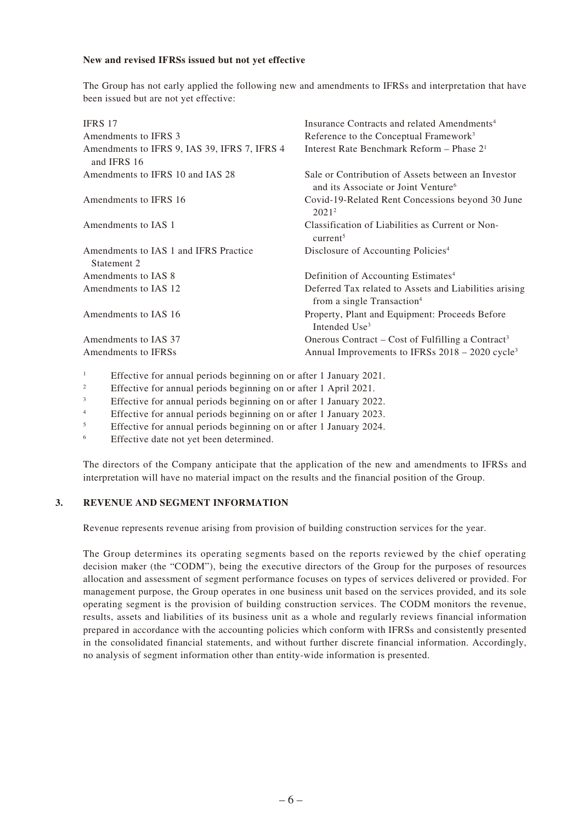#### **New and revised IFRSs issued but not yet effective**

The Group has not early applied the following new and amendments to IFRSs and interpretation that have been issued but are not yet effective:

| <b>IFRS 17</b>                                              | Insurance Contracts and related Amendments <sup>4</sup>                                               |
|-------------------------------------------------------------|-------------------------------------------------------------------------------------------------------|
| Amendments to IFRS 3                                        | Reference to the Conceptual Framework <sup>3</sup>                                                    |
| Amendments to IFRS 9, IAS 39, IFRS 7, IFRS 4<br>and IFRS 16 | Interest Rate Benchmark Reform – Phase $21$                                                           |
| Amendments to IFRS 10 and IAS 28                            | Sale or Contribution of Assets between an Investor<br>and its Associate or Joint Venture <sup>6</sup> |
| Amendments to IFRS 16                                       | Covid-19-Related Rent Concessions beyond 30 June<br>$2021^2$                                          |
| Amendments to IAS 1                                         | Classification of Liabilities as Current or Non-<br>current <sup>5</sup>                              |
| Amendments to IAS 1 and IFRS Practice<br>Statement 2        | Disclosure of Accounting Policies <sup>4</sup>                                                        |
| Amendments to IAS 8                                         | Definition of Accounting Estimates <sup>4</sup>                                                       |
| Amendments to IAS 12                                        | Deferred Tax related to Assets and Liabilities arising<br>from a single Transaction <sup>4</sup>      |
| Amendments to IAS 16                                        | Property, Plant and Equipment: Proceeds Before<br>Intended Use <sup>3</sup>                           |
| Amendments to IAS 37                                        | Onerous Contract – Cost of Fulfilling a Contract <sup>3</sup>                                         |
| Amendments to IFRSs                                         | Annual Improvements to IFRSs $2018 - 2020$ cycle <sup>3</sup>                                         |

- <sup>1</sup> Effective for annual periods beginning on or after 1 January 2021.
- <sup>2</sup> Effective for annual periods beginning on or after 1 April 2021.
- <sup>3</sup> Effective for annual periods beginning on or after 1 January 2022.
- <sup>4</sup> Effective for annual periods beginning on or after 1 January 2023.
- <sup>5</sup> Effective for annual periods beginning on or after 1 January 2024.
- <sup>6</sup> Effective date not yet been determined.

The directors of the Company anticipate that the application of the new and amendments to IFRSs and interpretation will have no material impact on the results and the financial position of the Group.

#### **3. REVENUE AND SEGMENT INFORMATION**

Revenue represents revenue arising from provision of building construction services for the year.

The Group determines its operating segments based on the reports reviewed by the chief operating decision maker (the "CODM"), being the executive directors of the Group for the purposes of resources allocation and assessment of segment performance focuses on types of services delivered or provided. For management purpose, the Group operates in one business unit based on the services provided, and its sole operating segment is the provision of building construction services. The CODM monitors the revenue, results, assets and liabilities of its business unit as a whole and regularly reviews financial information prepared in accordance with the accounting policies which conform with IFRSs and consistently presented in the consolidated financial statements, and without further discrete financial information. Accordingly, no analysis of segment information other than entity-wide information is presented.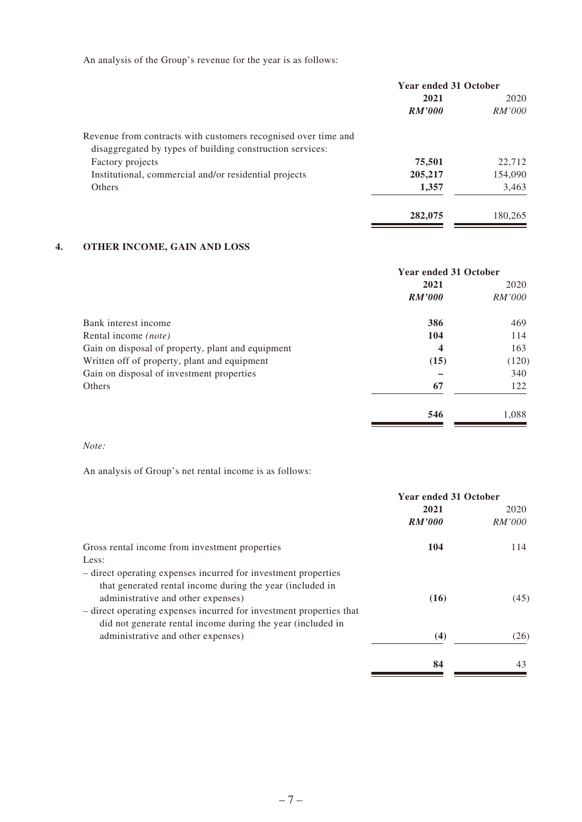An analysis of the Group's revenue for the year is as follows:

|                                                                | <b>Year ended 31 October</b> |         |
|----------------------------------------------------------------|------------------------------|---------|
|                                                                | 2021                         | 2020    |
|                                                                | RM'000                       | RM'000  |
| Revenue from contracts with customers recognised over time and |                              |         |
| disaggregated by types of building construction services:      |                              |         |
| Factory projects                                               | 75,501                       | 22,712  |
| Institutional, commercial and/or residential projects          | 205,217                      | 154,090 |
| <b>Others</b>                                                  | 1,357                        | 3,463   |
|                                                                | 282,075                      | 180,265 |

# **4. OTHER INCOME, GAIN AND LOSS**

|                                                   | <b>Year ended 31 October</b> |               |
|---------------------------------------------------|------------------------------|---------------|
|                                                   | 2021                         | 2020          |
|                                                   | <b>RM'000</b>                | <i>RM'000</i> |
| Bank interest income                              | 386                          | 469           |
| Rental income (note)                              | 104                          | 114           |
| Gain on disposal of property, plant and equipment | 4                            | 163           |
| Written off of property, plant and equipment      | (15)                         | (120)         |
| Gain on disposal of investment properties         |                              | 340           |
| <b>Others</b>                                     | 67                           | 122           |
|                                                   | 546                          | 1,088         |

#### *Note:*

An analysis of Group's net rental income is as follows:

| <b>Year ended 31 October</b> |  |
|------------------------------|--|
| 2020                         |  |
| <i>RM'000</i>                |  |
| 114                          |  |
|                              |  |
|                              |  |
| (45)                         |  |
|                              |  |
| (26)                         |  |
| 43                           |  |
|                              |  |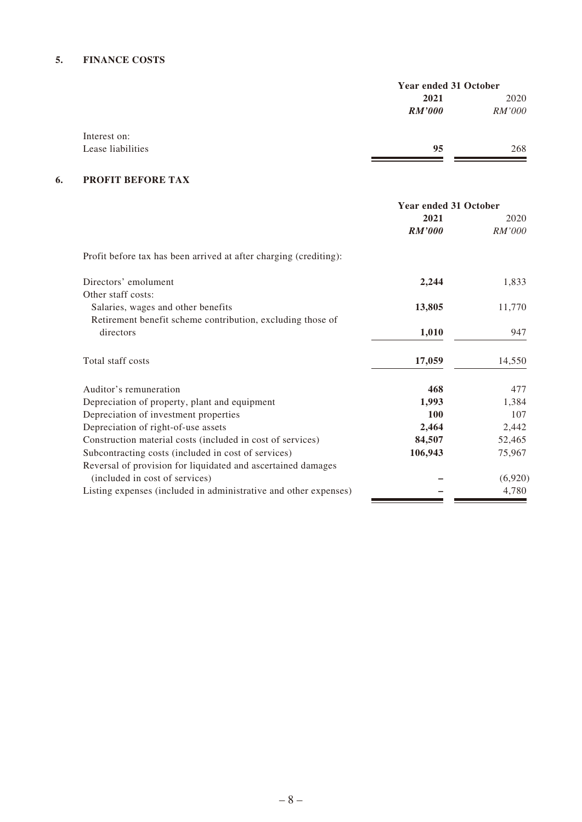### **5. FINANCE COSTS**

|                   |               | <b>Year ended 31 October</b> |  |
|-------------------|---------------|------------------------------|--|
|                   | 2021          | 2020                         |  |
|                   | <i>RM'000</i> | RM'000                       |  |
| Interest on:      |               |                              |  |
| Lease liabilities | 95            | 268                          |  |
|                   |               |                              |  |

# **6. PROFIT BEFORE TAX**

|                                                                   | <b>Year ended 31 October</b> |         |
|-------------------------------------------------------------------|------------------------------|---------|
|                                                                   | 2021                         | 2020    |
|                                                                   | RM'000                       | RM'000  |
| Profit before tax has been arrived at after charging (crediting): |                              |         |
| Directors' emolument                                              | 2,244                        | 1,833   |
| Other staff costs:                                                |                              |         |
| Salaries, wages and other benefits                                | 13,805                       | 11,770  |
| Retirement benefit scheme contribution, excluding those of        |                              |         |
| directors                                                         | 1,010                        | 947     |
| Total staff costs                                                 | 17,059                       | 14,550  |
| Auditor's remuneration                                            | 468                          | 477     |
| Depreciation of property, plant and equipment                     | 1,993                        | 1,384   |
| Depreciation of investment properties                             | 100                          | 107     |
| Depreciation of right-of-use assets                               | 2,464                        | 2,442   |
| Construction material costs (included in cost of services)        | 84,507                       | 52,465  |
| Subcontracting costs (included in cost of services)               | 106,943                      | 75,967  |
| Reversal of provision for liquidated and ascertained damages      |                              |         |
| (included in cost of services)                                    |                              | (6,920) |
| Listing expenses (included in administrative and other expenses)  |                              | 4,780   |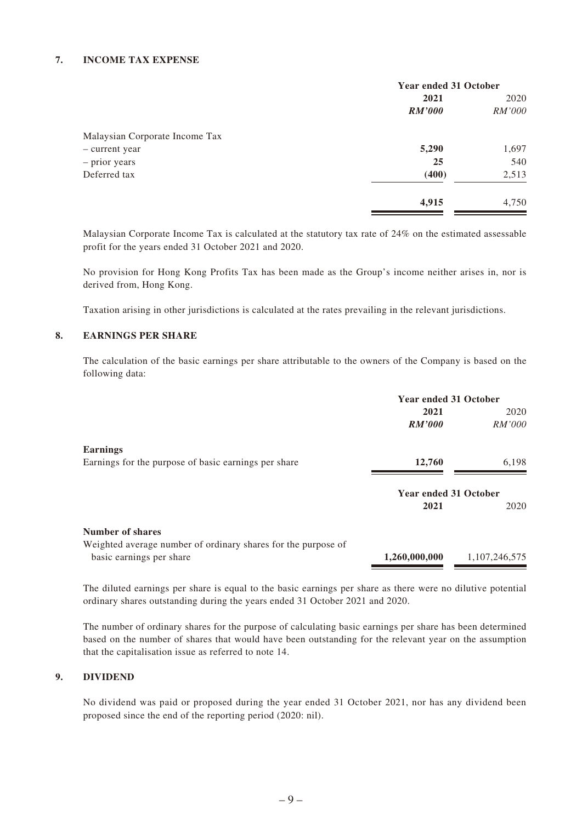#### **7. INCOME TAX EXPENSE**

|                                | <b>Year ended 31 October</b> |               |
|--------------------------------|------------------------------|---------------|
|                                | 2021                         | 2020          |
|                                | <b>RM'000</b>                | <i>RM'000</i> |
| Malaysian Corporate Income Tax |                              |               |
| - current year                 | 5,290                        | 1,697         |
| - prior years                  | 25                           | 540           |
| Deferred tax                   | (400)                        | 2,513         |
|                                | 4,915                        | 4,750         |

Malaysian Corporate Income Tax is calculated at the statutory tax rate of 24% on the estimated assessable profit for the years ended 31 October 2021 and 2020.

No provision for Hong Kong Profits Tax has been made as the Group's income neither arises in, nor is derived from, Hong Kong.

Taxation arising in other jurisdictions is calculated at the rates prevailing in the relevant jurisdictions.

#### **8. EARNINGS PER SHARE**

The calculation of the basic earnings per share attributable to the owners of the Company is based on the following data:

|                                                               | <b>Year ended 31 October</b> |               |
|---------------------------------------------------------------|------------------------------|---------------|
|                                                               | 2021                         | 2020          |
|                                                               | RM'000                       | <i>RM'000</i> |
| <b>Earnings</b>                                               |                              |               |
| Earnings for the purpose of basic earnings per share          | 12,760                       | 6,198         |
|                                                               | <b>Year ended 31 October</b> |               |
|                                                               | 2021                         | 2020          |
| Number of shares                                              |                              |               |
| Weighted average number of ordinary shares for the purpose of |                              |               |
| basic earnings per share                                      | 1,260,000,000                | 1,107,246,575 |

The diluted earnings per share is equal to the basic earnings per share as there were no dilutive potential ordinary shares outstanding during the years ended 31 October 2021 and 2020.

The number of ordinary shares for the purpose of calculating basic earnings per share has been determined based on the number of shares that would have been outstanding for the relevant year on the assumption that the capitalisation issue as referred to note 14.

#### **9. DIVIDEND**

No dividend was paid or proposed during the year ended 31 October 2021, nor has any dividend been proposed since the end of the reporting period (2020: nil).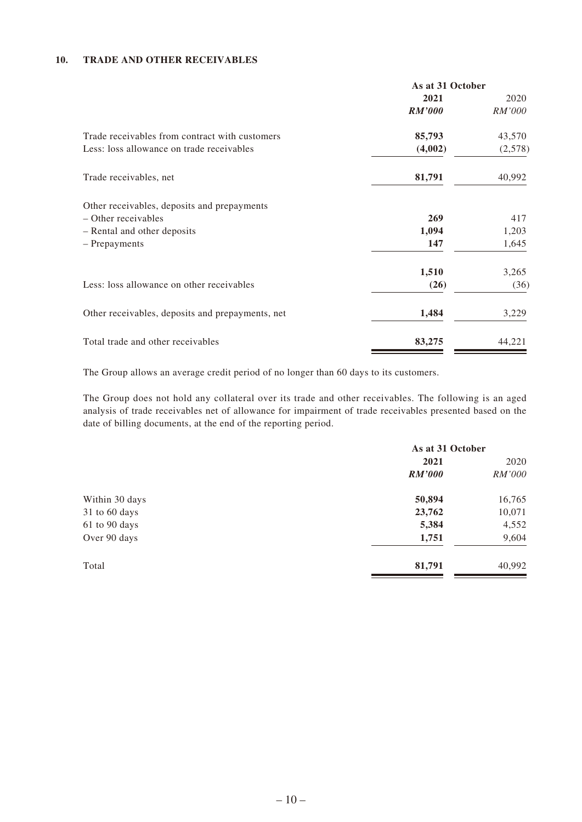#### **10. TRADE AND OTHER RECEIVABLES**

|                                                  | As at 31 October |         |  |
|--------------------------------------------------|------------------|---------|--|
|                                                  | 2021             | 2020    |  |
|                                                  | <b>RM'000</b>    | RM'000  |  |
| Trade receivables from contract with customers   | 85,793           | 43,570  |  |
| Less: loss allowance on trade receivables        | (4,002)          | (2,578) |  |
| Trade receivables, net                           | 81,791           | 40,992  |  |
| Other receivables, deposits and prepayments      |                  |         |  |
| - Other receivables                              | 269              | 417     |  |
| - Rental and other deposits                      | 1,094            | 1,203   |  |
| - Prepayments                                    | 147              | 1,645   |  |
|                                                  | 1,510            | 3,265   |  |
| Less: loss allowance on other receivables        | (26)             | (36)    |  |
| Other receivables, deposits and prepayments, net | 1,484            | 3,229   |  |
| Total trade and other receivables                | 83,275           | 44,221  |  |

The Group allows an average credit period of no longer than 60 days to its customers.

The Group does not hold any collateral over its trade and other receivables. The following is an aged analysis of trade receivables net of allowance for impairment of trade receivables presented based on the date of billing documents, at the end of the reporting period.

|                | As at 31 October |        |  |
|----------------|------------------|--------|--|
|                | 2021             | 2020   |  |
|                | <b>RM'000</b>    | RM'000 |  |
| Within 30 days | 50,894           | 16,765 |  |
| 31 to 60 days  | 23,762           | 10,071 |  |
| 61 to 90 days  | 5,384            | 4,552  |  |
| Over 90 days   | 1,751            | 9,604  |  |
| Total          | 81,791           | 40,992 |  |
|                |                  |        |  |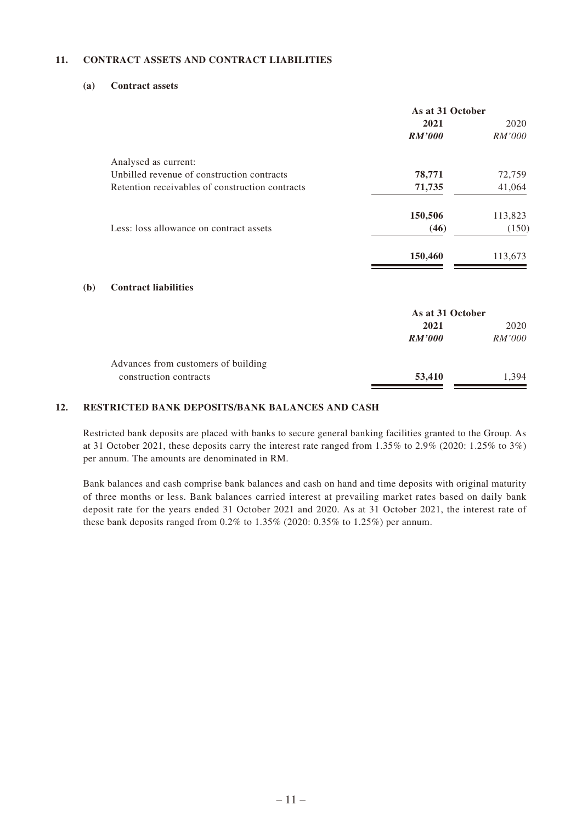#### **11. CONTRACT ASSETS AND CONTRACT LIABILITIES**

#### **(a) Contract assets**

**(b) Contract liabilities**

|                                                 | As at 31 October |         |  |
|-------------------------------------------------|------------------|---------|--|
|                                                 | 2021             | 2020    |  |
|                                                 | <b>RM'000</b>    | RM'000  |  |
| Analysed as current:                            |                  |         |  |
| Unbilled revenue of construction contracts      | 78,771           | 72,759  |  |
| Retention receivables of construction contracts | 71,735           | 41,064  |  |
|                                                 | 150,506          | 113,823 |  |
| Less: loss allowance on contract assets         | (46)             | (150)   |  |
|                                                 | 150,460          | 113,673 |  |
| <b>Contract liabilities</b>                     |                  |         |  |
|                                                 | As at 31 October |         |  |
|                                                 | 2021             | 2020    |  |
|                                                 | <b>RM'000</b>    | RM'000  |  |
| Advances from customers of building             |                  |         |  |
| construction contracts                          | 53,410           | 1,394   |  |

#### **12. RESTRICTED BANK DEPOSITS/BANK BALANCES AND CASH**

Restricted bank deposits are placed with banks to secure general banking facilities granted to the Group. As at 31 October 2021, these deposits carry the interest rate ranged from 1.35% to 2.9% (2020: 1.25% to 3%) per annum. The amounts are denominated in RM.

Bank balances and cash comprise bank balances and cash on hand and time deposits with original maturity of three months or less. Bank balances carried interest at prevailing market rates based on daily bank deposit rate for the years ended 31 October 2021 and 2020. As at 31 October 2021, the interest rate of these bank deposits ranged from 0.2% to 1.35% (2020: 0.35% to 1.25%) per annum.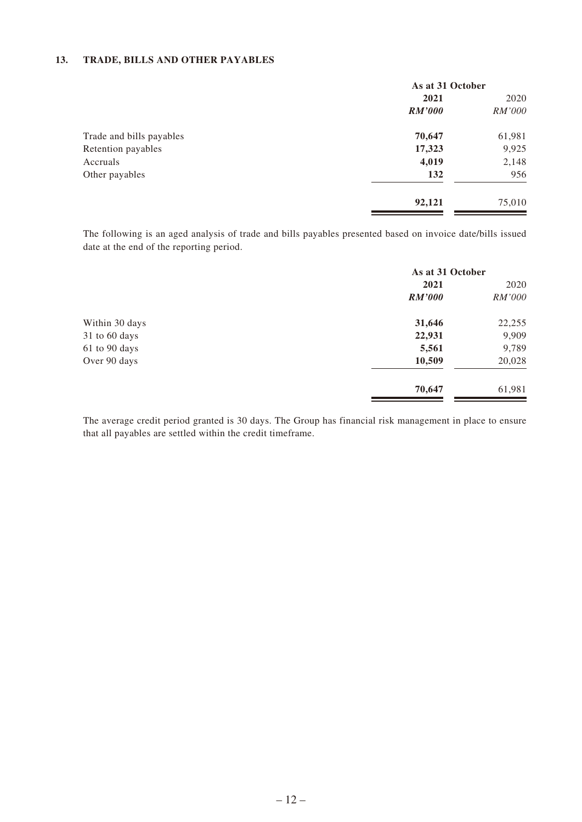#### **13. TRADE, BILLS AND OTHER PAYABLES**

|                          | As at 31 October |               |  |
|--------------------------|------------------|---------------|--|
|                          | 2021             | 2020          |  |
|                          | <b>RM'000</b>    | <i>RM'000</i> |  |
| Trade and bills payables | 70,647           | 61,981        |  |
| Retention payables       | 17,323           | 9,925         |  |
| Accruals                 | 4,019            | 2,148         |  |
| Other payables           | 132              | 956           |  |
|                          | 92,121           | 75,010        |  |

The following is an aged analysis of trade and bills payables presented based on invoice date/bills issued date at the end of the reporting period.

|                | As at 31 October |               |  |
|----------------|------------------|---------------|--|
|                | 2021             |               |  |
|                | <b>RM'000</b>    | <i>RM'000</i> |  |
| Within 30 days | 31,646           | 22,255        |  |
| 31 to 60 days  | 22,931           | 9,909         |  |
| 61 to 90 days  | 5,561            | 9,789         |  |
| Over 90 days   | 10,509           | 20,028        |  |
|                | 70,647           | 61,981        |  |

The average credit period granted is 30 days. The Group has financial risk management in place to ensure that all payables are settled within the credit timeframe.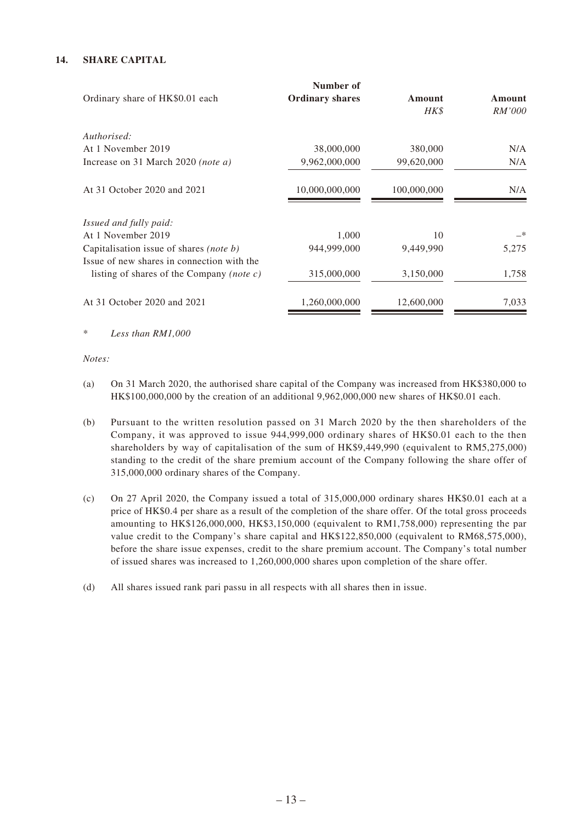#### **14. SHARE CAPITAL**

|                                                | Number of              |             |        |
|------------------------------------------------|------------------------|-------------|--------|
| Ordinary share of HK\$0.01 each                | <b>Ordinary shares</b> | Amount      | Amount |
|                                                |                        | HK\$        | RM'000 |
| Authorised:                                    |                        |             |        |
| At 1 November 2019                             | 38,000,000             | 380,000     | N/A    |
| Increase on 31 March 2020 (note a)             | 9,962,000,000          | 99,620,000  | N/A    |
| At 31 October 2020 and 2021                    | 10,000,000,000         | 100,000,000 | N/A    |
| <i>Issued and fully paid:</i>                  |                        |             |        |
| At 1 November 2019                             | 1,000                  | 10          | _*     |
| Capitalisation issue of shares <i>(note b)</i> | 944,999,000            | 9,449,990   | 5,275  |
| Issue of new shares in connection with the     |                        |             |        |
| listing of shares of the Company (note c)      | 315,000,000            | 3,150,000   | 1,758  |
| At 31 October 2020 and 2021                    | 1,260,000,000          | 12,600,000  | 7,033  |
|                                                |                        |             |        |

\* *Less than RM1,000*

*Notes:*

- (a) On 31 March 2020, the authorised share capital of the Company was increased from HK\$380,000 to HK\$100,000,000 by the creation of an additional 9,962,000,000 new shares of HK\$0.01 each.
- (b) Pursuant to the written resolution passed on 31 March 2020 by the then shareholders of the Company, it was approved to issue 944,999,000 ordinary shares of HK\$0.01 each to the then shareholders by way of capitalisation of the sum of HK\$9,449,990 (equivalent to RM5,275,000) standing to the credit of the share premium account of the Company following the share offer of 315,000,000 ordinary shares of the Company.
- (c) On 27 April 2020, the Company issued a total of 315,000,000 ordinary shares HK\$0.01 each at a price of HK\$0.4 per share as a result of the completion of the share offer. Of the total gross proceeds amounting to HK\$126,000,000, HK\$3,150,000 (equivalent to RM1,758,000) representing the par value credit to the Company's share capital and HK\$122,850,000 (equivalent to RM68,575,000), before the share issue expenses, credit to the share premium account. The Company's total number of issued shares was increased to 1,260,000,000 shares upon completion of the share offer.
- (d) All shares issued rank pari passu in all respects with all shares then in issue.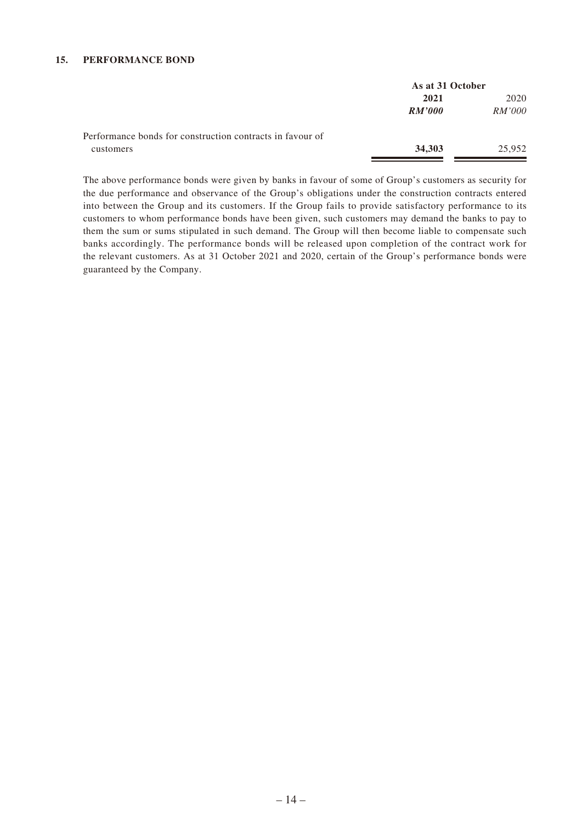#### **15. PERFORMANCE BOND**

|                                                           | As at 31 October |        |  |
|-----------------------------------------------------------|------------------|--------|--|
|                                                           | 2021             | 2020   |  |
|                                                           | RM'000           | RM'000 |  |
| Performance bonds for construction contracts in favour of |                  |        |  |
| customers                                                 | 34.303           | 25,952 |  |

The above performance bonds were given by banks in favour of some of Group's customers as security for the due performance and observance of the Group's obligations under the construction contracts entered into between the Group and its customers. If the Group fails to provide satisfactory performance to its customers to whom performance bonds have been given, such customers may demand the banks to pay to them the sum or sums stipulated in such demand. The Group will then become liable to compensate such banks accordingly. The performance bonds will be released upon completion of the contract work for the relevant customers. As at 31 October 2021 and 2020, certain of the Group's performance bonds were guaranteed by the Company.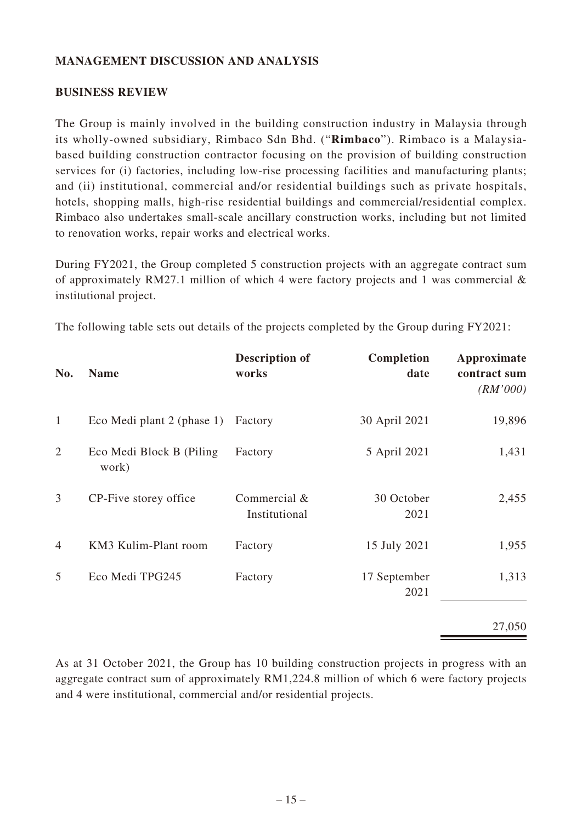# **MANAGEMENT DISCUSSION AND ANALYSIS**

### **BUSINESS REVIEW**

The Group is mainly involved in the building construction industry in Malaysia through its wholly-owned subsidiary, Rimbaco Sdn Bhd. ("**Rimbaco**"). Rimbaco is a Malaysiabased building construction contractor focusing on the provision of building construction services for (i) factories, including low-rise processing facilities and manufacturing plants; and (ii) institutional, commercial and/or residential buildings such as private hospitals, hotels, shopping malls, high-rise residential buildings and commercial/residential complex. Rimbaco also undertakes small-scale ancillary construction works, including but not limited to renovation works, repair works and electrical works.

During FY2021, the Group completed 5 construction projects with an aggregate contract sum of approximately RM27.1 million of which 4 were factory projects and 1 was commercial & institutional project.

The following table sets out details of the projects completed by the Group during FY2021:

| No.            | <b>Name</b>                        | <b>Description of</b><br>works | Completion<br>date   | Approximate<br>contract sum<br>(RM'000) |
|----------------|------------------------------------|--------------------------------|----------------------|-----------------------------------------|
| $\mathbf{1}$   | Eco Medi plant 2 (phase 1)         | Factory                        | 30 April 2021        | 19,896                                  |
| $\overline{2}$ | Eco Medi Block B (Piling)<br>work) | Factory                        | 5 April 2021         | 1,431                                   |
| 3              | CP-Five storey office              | Commercial &<br>Institutional  | 30 October<br>2021   | 2,455                                   |
| 4              | KM3 Kulim-Plant room               | Factory                        | 15 July 2021         | 1,955                                   |
| 5              | Eco Medi TPG245                    | Factory                        | 17 September<br>2021 | 1,313                                   |
|                |                                    |                                |                      | 27,050                                  |

As at 31 October 2021, the Group has 10 building construction projects in progress with an aggregate contract sum of approximately RM1,224.8 million of which 6 were factory projects and 4 were institutional, commercial and/or residential projects.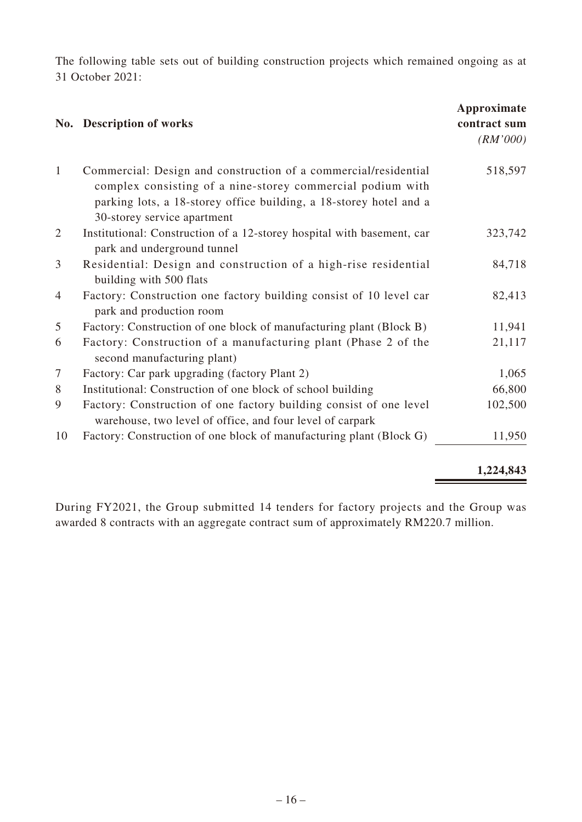The following table sets out of building construction projects which remained ongoing as at 31 October 2021:

|                | No. Description of works                                                                                                                                                                                                           | Approximate<br>contract sum<br>(RM'000) |
|----------------|------------------------------------------------------------------------------------------------------------------------------------------------------------------------------------------------------------------------------------|-----------------------------------------|
| $\mathbf{1}$   | Commercial: Design and construction of a commercial/residential<br>complex consisting of a nine-storey commercial podium with<br>parking lots, a 18-storey office building, a 18-storey hotel and a<br>30-storey service apartment | 518,597                                 |
| 2              | Institutional: Construction of a 12-storey hospital with basement, car<br>park and underground tunnel                                                                                                                              | 323,742                                 |
| 3              | Residential: Design and construction of a high-rise residential<br>building with 500 flats                                                                                                                                         | 84,718                                  |
| 4              | Factory: Construction one factory building consist of 10 level car<br>park and production room                                                                                                                                     | 82,413                                  |
| 5              | Factory: Construction of one block of manufacturing plant (Block B)                                                                                                                                                                | 11,941                                  |
| 6              | Factory: Construction of a manufacturing plant (Phase 2 of the<br>second manufacturing plant)                                                                                                                                      | 21,117                                  |
| $\overline{7}$ | Factory: Car park upgrading (factory Plant 2)                                                                                                                                                                                      | 1,065                                   |
| 8              | Institutional: Construction of one block of school building                                                                                                                                                                        | 66,800                                  |
| 9              | Factory: Construction of one factory building consist of one level<br>warehouse, two level of office, and four level of carpark                                                                                                    | 102,500                                 |
| 10             | Factory: Construction of one block of manufacturing plant (Block G)                                                                                                                                                                | 11,950                                  |

# **1,224,843**

÷

During FY2021, the Group submitted 14 tenders for factory projects and the Group was awarded 8 contracts with an aggregate contract sum of approximately RM220.7 million.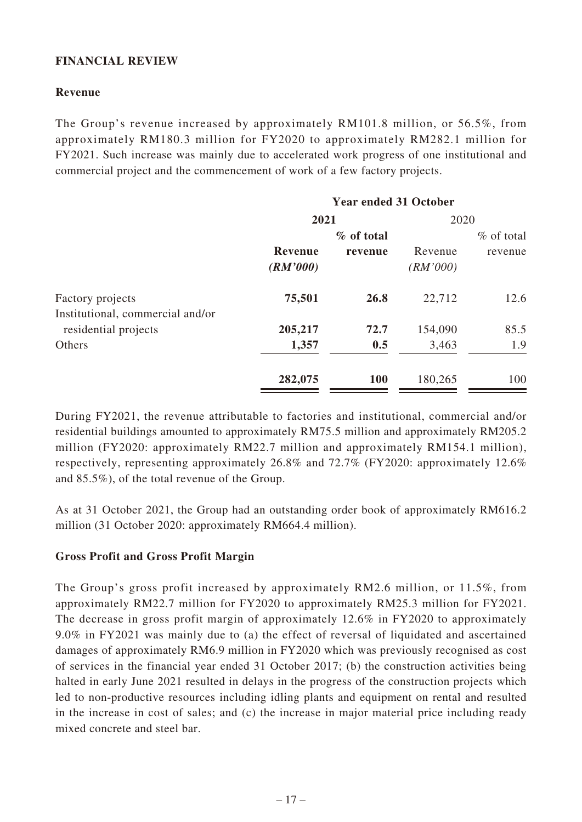# **FINANCIAL REVIEW**

# **Revenue**

The Group's revenue increased by approximately RM101.8 million, or 56.5%, from approximately RM180.3 million for FY2020 to approximately RM282.1 million for FY2021. Such increase was mainly due to accelerated work progress of one institutional and commercial project and the commencement of work of a few factory projects.

|                | <b>Year ended 31 October</b> |          |               |  |
|----------------|------------------------------|----------|---------------|--|
|                |                              | 2020     |               |  |
|                | % of total                   |          | $\%$ of total |  |
| <b>Revenue</b> | revenue                      | Revenue  | revenue       |  |
| (RM'000)       |                              | (RM'000) |               |  |
| 75,501         | 26.8                         | 22,712   | 12.6          |  |
|                |                              |          |               |  |
| 205,217        | 72.7                         | 154,090  | 85.5          |  |
| 1,357          | 0.5                          | 3,463    | 1.9           |  |
| 282,075        | <b>100</b>                   | 180,265  | 100           |  |
|                |                              | 2021     |               |  |

During FY2021, the revenue attributable to factories and institutional, commercial and/or residential buildings amounted to approximately RM75.5 million and approximately RM205.2 million (FY2020: approximately RM22.7 million and approximately RM154.1 million), respectively, representing approximately 26.8% and 72.7% (FY2020: approximately 12.6% and 85.5%), of the total revenue of the Group.

As at 31 October 2021, the Group had an outstanding order book of approximately RM616.2 million (31 October 2020: approximately RM664.4 million).

# **Gross Profit and Gross Profit Margin**

The Group's gross profit increased by approximately RM2.6 million, or 11.5%, from approximately RM22.7 million for FY2020 to approximately RM25.3 million for FY2021. The decrease in gross profit margin of approximately 12.6% in FY2020 to approximately 9.0% in FY2021 was mainly due to (a) the effect of reversal of liquidated and ascertained damages of approximately RM6.9 million in FY2020 which was previously recognised as cost of services in the financial year ended 31 October 2017; (b) the construction activities being halted in early June 2021 resulted in delays in the progress of the construction projects which led to non-productive resources including idling plants and equipment on rental and resulted in the increase in cost of sales; and (c) the increase in major material price including ready mixed concrete and steel bar.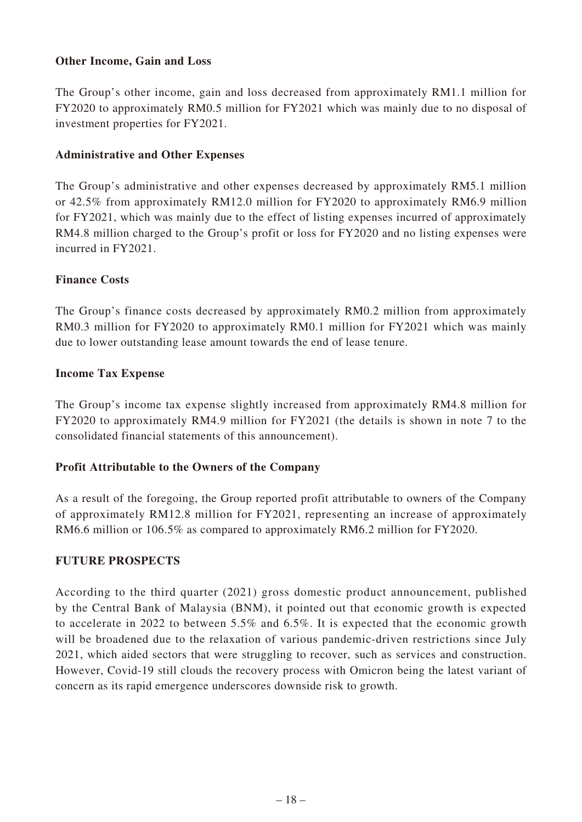# **Other Income, Gain and Loss**

The Group's other income, gain and loss decreased from approximately RM1.1 million for FY2020 to approximately RM0.5 million for FY2021 which was mainly due to no disposal of investment properties for FY2021.

# **Administrative and Other Expenses**

The Group's administrative and other expenses decreased by approximately RM5.1 million or 42.5% from approximately RM12.0 million for FY2020 to approximately RM6.9 million for FY2021, which was mainly due to the effect of listing expenses incurred of approximately RM4.8 million charged to the Group's profit or loss for FY2020 and no listing expenses were incurred in FY2021.

# **Finance Costs**

The Group's finance costs decreased by approximately RM0.2 million from approximately RM0.3 million for FY2020 to approximately RM0.1 million for FY2021 which was mainly due to lower outstanding lease amount towards the end of lease tenure.

# **Income Tax Expense**

The Group's income tax expense slightly increased from approximately RM4.8 million for FY2020 to approximately RM4.9 million for FY2021 (the details is shown in note 7 to the consolidated financial statements of this announcement).

# **Profit Attributable to the Owners of the Company**

As a result of the foregoing, the Group reported profit attributable to owners of the Company of approximately RM12.8 million for FY2021, representing an increase of approximately RM6.6 million or 106.5% as compared to approximately RM6.2 million for FY2020.

# **FUTURE PROSPECTS**

According to the third quarter (2021) gross domestic product announcement, published by the Central Bank of Malaysia (BNM), it pointed out that economic growth is expected to accelerate in 2022 to between 5.5% and 6.5%. It is expected that the economic growth will be broadened due to the relaxation of various pandemic-driven restrictions since July 2021, which aided sectors that were struggling to recover, such as services and construction. However, Covid-19 still clouds the recovery process with Omicron being the latest variant of concern as its rapid emergence underscores downside risk to growth.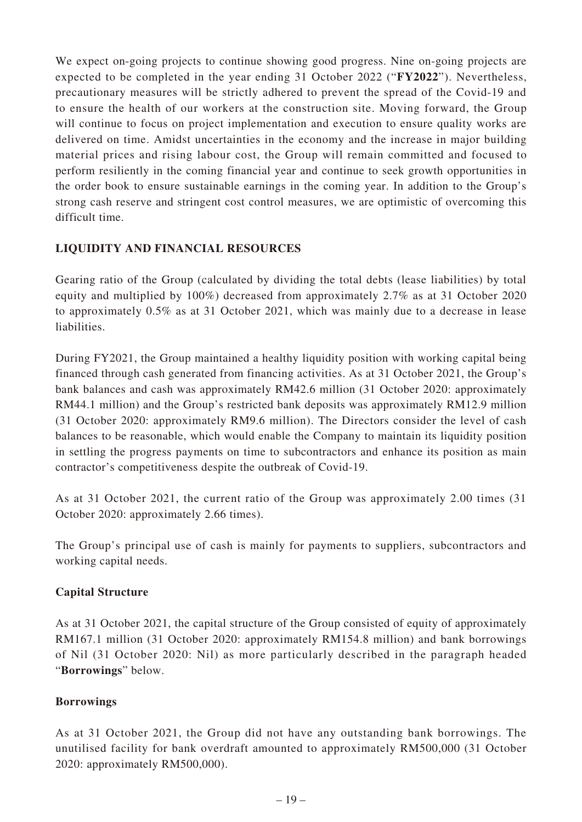We expect on-going projects to continue showing good progress. Nine on-going projects are expected to be completed in the year ending 31 October 2022 ("**FY2022**"). Nevertheless, precautionary measures will be strictly adhered to prevent the spread of the Covid-19 and to ensure the health of our workers at the construction site. Moving forward, the Group will continue to focus on project implementation and execution to ensure quality works are delivered on time. Amidst uncertainties in the economy and the increase in major building material prices and rising labour cost, the Group will remain committed and focused to perform resiliently in the coming financial year and continue to seek growth opportunities in the order book to ensure sustainable earnings in the coming year. In addition to the Group's strong cash reserve and stringent cost control measures, we are optimistic of overcoming this difficult time.

# **LIQUIDITY AND FINANCIAL RESOURCES**

Gearing ratio of the Group (calculated by dividing the total debts (lease liabilities) by total equity and multiplied by 100%) decreased from approximately 2.7% as at 31 October 2020 to approximately 0.5% as at 31 October 2021, which was mainly due to a decrease in lease liabilities.

During FY2021, the Group maintained a healthy liquidity position with working capital being financed through cash generated from financing activities. As at 31 October 2021, the Group's bank balances and cash was approximately RM42.6 million (31 October 2020: approximately RM44.1 million) and the Group's restricted bank deposits was approximately RM12.9 million (31 October 2020: approximately RM9.6 million). The Directors consider the level of cash balances to be reasonable, which would enable the Company to maintain its liquidity position in settling the progress payments on time to subcontractors and enhance its position as main contractor's competitiveness despite the outbreak of Covid-19.

As at 31 October 2021, the current ratio of the Group was approximately 2.00 times (31 October 2020: approximately 2.66 times).

The Group's principal use of cash is mainly for payments to suppliers, subcontractors and working capital needs.

# **Capital Structure**

As at 31 October 2021, the capital structure of the Group consisted of equity of approximately RM167.1 million (31 October 2020: approximately RM154.8 million) and bank borrowings of Nil (31 October 2020: Nil) as more particularly described in the paragraph headed "**Borrowings**" below.

# **Borrowings**

As at 31 October 2021, the Group did not have any outstanding bank borrowings. The unutilised facility for bank overdraft amounted to approximately RM500,000 (31 October 2020: approximately RM500,000).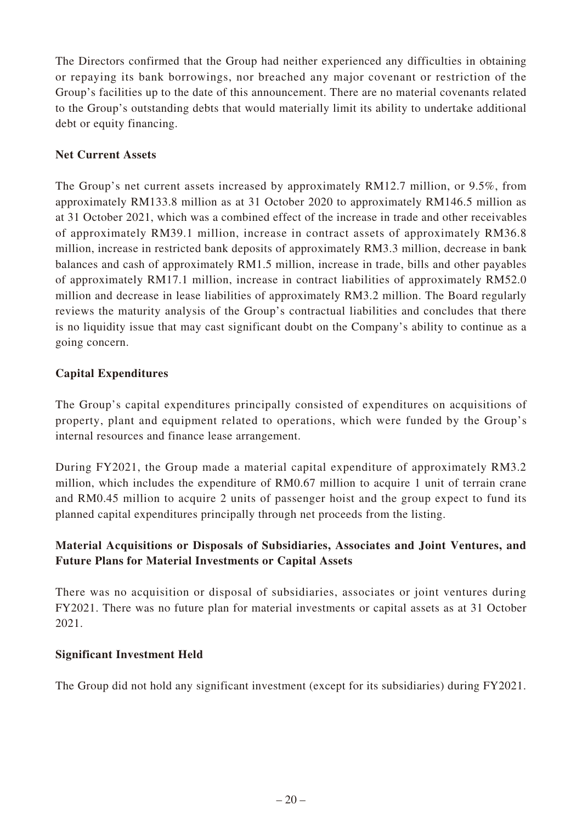The Directors confirmed that the Group had neither experienced any difficulties in obtaining or repaying its bank borrowings, nor breached any major covenant or restriction of the Group's facilities up to the date of this announcement. There are no material covenants related to the Group's outstanding debts that would materially limit its ability to undertake additional debt or equity financing.

# **Net Current Assets**

The Group's net current assets increased by approximately RM12.7 million, or 9.5%, from approximately RM133.8 million as at 31 October 2020 to approximately RM146.5 million as at 31 October 2021, which was a combined effect of the increase in trade and other receivables of approximately RM39.1 million, increase in contract assets of approximately RM36.8 million, increase in restricted bank deposits of approximately RM3.3 million, decrease in bank balances and cash of approximately RM1.5 million, increase in trade, bills and other payables of approximately RM17.1 million, increase in contract liabilities of approximately RM52.0 million and decrease in lease liabilities of approximately RM3.2 million. The Board regularly reviews the maturity analysis of the Group's contractual liabilities and concludes that there is no liquidity issue that may cast significant doubt on the Company's ability to continue as a going concern.

# **Capital Expenditures**

The Group's capital expenditures principally consisted of expenditures on acquisitions of property, plant and equipment related to operations, which were funded by the Group's internal resources and finance lease arrangement.

During FY2021, the Group made a material capital expenditure of approximately RM3.2 million, which includes the expenditure of RM0.67 million to acquire 1 unit of terrain crane and RM0.45 million to acquire 2 units of passenger hoist and the group expect to fund its planned capital expenditures principally through net proceeds from the listing.

# **Material Acquisitions or Disposals of Subsidiaries, Associates and Joint Ventures, and Future Plans for Material Investments or Capital Assets**

There was no acquisition or disposal of subsidiaries, associates or joint ventures during FY2021. There was no future plan for material investments or capital assets as at 31 October 2021.

# **Significant Investment Held**

The Group did not hold any significant investment (except for its subsidiaries) during FY2021.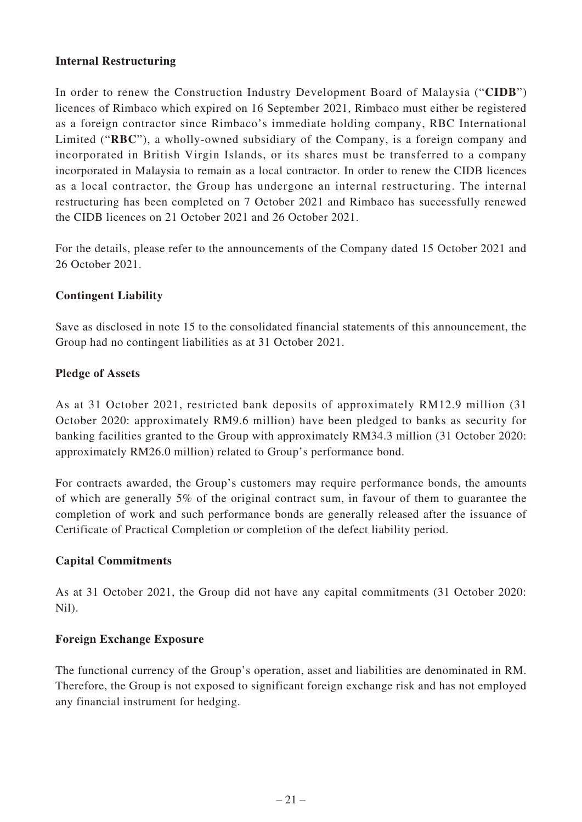# **Internal Restructuring**

In order to renew the Construction Industry Development Board of Malaysia ("**CIDB**") licences of Rimbaco which expired on 16 September 2021, Rimbaco must either be registered as a foreign contractor since Rimbaco's immediate holding company, RBC International Limited ("**RBC**"), a wholly-owned subsidiary of the Company, is a foreign company and incorporated in British Virgin Islands, or its shares must be transferred to a company incorporated in Malaysia to remain as a local contractor. In order to renew the CIDB licences as a local contractor, the Group has undergone an internal restructuring. The internal restructuring has been completed on 7 October 2021 and Rimbaco has successfully renewed the CIDB licences on 21 October 2021 and 26 October 2021.

For the details, please refer to the announcements of the Company dated 15 October 2021 and 26 October 2021.

# **Contingent Liability**

Save as disclosed in note 15 to the consolidated financial statements of this announcement, the Group had no contingent liabilities as at 31 October 2021.

# **Pledge of Assets**

As at 31 October 2021, restricted bank deposits of approximately RM12.9 million (31 October 2020: approximately RM9.6 million) have been pledged to banks as security for banking facilities granted to the Group with approximately RM34.3 million (31 October 2020: approximately RM26.0 million) related to Group's performance bond.

For contracts awarded, the Group's customers may require performance bonds, the amounts of which are generally 5% of the original contract sum, in favour of them to guarantee the completion of work and such performance bonds are generally released after the issuance of Certificate of Practical Completion or completion of the defect liability period.

# **Capital Commitments**

As at 31 October 2021, the Group did not have any capital commitments (31 October 2020: Nil).

# **Foreign Exchange Exposure**

The functional currency of the Group's operation, asset and liabilities are denominated in RM. Therefore, the Group is not exposed to significant foreign exchange risk and has not employed any financial instrument for hedging.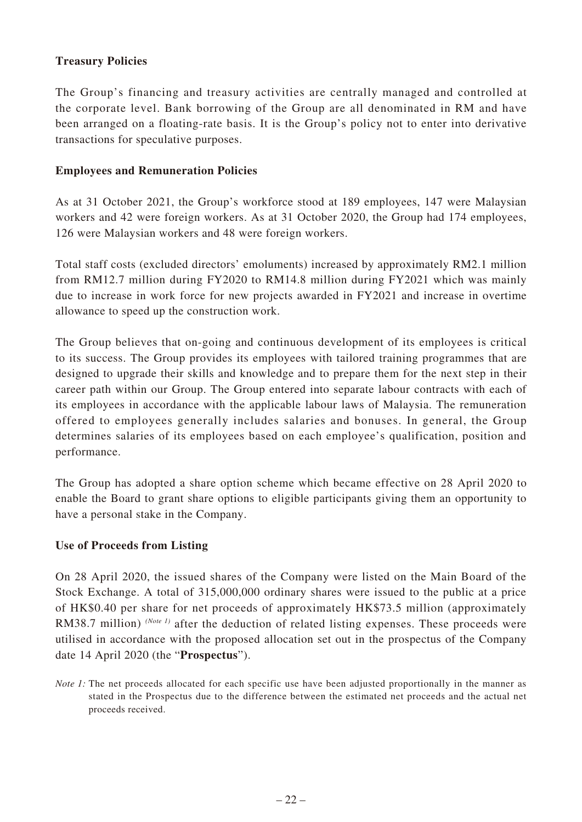# **Treasury Policies**

The Group's financing and treasury activities are centrally managed and controlled at the corporate level. Bank borrowing of the Group are all denominated in RM and have been arranged on a floating-rate basis. It is the Group's policy not to enter into derivative transactions for speculative purposes.

# **Employees and Remuneration Policies**

As at 31 October 2021, the Group's workforce stood at 189 employees, 147 were Malaysian workers and 42 were foreign workers. As at 31 October 2020, the Group had 174 employees, 126 were Malaysian workers and 48 were foreign workers.

Total staff costs (excluded directors' emoluments) increased by approximately RM2.1 million from RM12.7 million during FY2020 to RM14.8 million during FY2021 which was mainly due to increase in work force for new projects awarded in FY2021 and increase in overtime allowance to speed up the construction work.

The Group believes that on-going and continuous development of its employees is critical to its success. The Group provides its employees with tailored training programmes that are designed to upgrade their skills and knowledge and to prepare them for the next step in their career path within our Group. The Group entered into separate labour contracts with each of its employees in accordance with the applicable labour laws of Malaysia. The remuneration offered to employees generally includes salaries and bonuses. In general, the Group determines salaries of its employees based on each employee's qualification, position and performance.

The Group has adopted a share option scheme which became effective on 28 April 2020 to enable the Board to grant share options to eligible participants giving them an opportunity to have a personal stake in the Company.

# **Use of Proceeds from Listing**

On 28 April 2020, the issued shares of the Company were listed on the Main Board of the Stock Exchange. A total of 315,000,000 ordinary shares were issued to the public at a price of HK\$0.40 per share for net proceeds of approximately HK\$73.5 million (approximately RM38.7 million) *(Note 1)* after the deduction of related listing expenses. These proceeds were utilised in accordance with the proposed allocation set out in the prospectus of the Company date 14 April 2020 (the "**Prospectus**").

*Note 1*: The net proceeds allocated for each specific use have been adjusted proportionally in the manner as stated in the Prospectus due to the difference between the estimated net proceeds and the actual net proceeds received.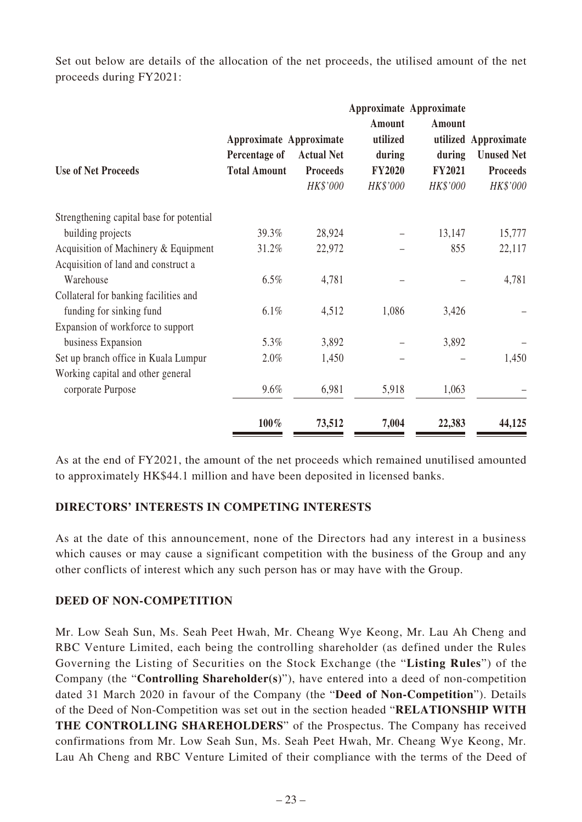Set out below are details of the allocation of the net proceeds, the utilised amount of the net proceeds during FY2021:

|                                          |                                |                   |               | <b>Approximate Approximate</b> |                      |
|------------------------------------------|--------------------------------|-------------------|---------------|--------------------------------|----------------------|
|                                          |                                |                   | Amount        | <b>Amount</b>                  |                      |
|                                          | <b>Approximate Approximate</b> |                   | utilized      |                                | utilized Approximate |
|                                          | Percentage of                  | <b>Actual Net</b> | during        | during                         | <b>Unused Net</b>    |
| <b>Use of Net Proceeds</b>               | <b>Total Amount</b>            | <b>Proceeds</b>   | <b>FY2020</b> | <b>FY2021</b>                  | <b>Proceeds</b>      |
|                                          |                                | HK\$'000          | HK\$'000      | HK\$'000                       | HK\$'000             |
| Strengthening capital base for potential |                                |                   |               |                                |                      |
| building projects                        | 39.3%                          | 28,924            |               | 13,147                         | 15,777               |
| Acquisition of Machinery & Equipment     | 31.2%                          | 22,972            |               | 855                            | 22,117               |
| Acquisition of land and construct a      |                                |                   |               |                                |                      |
| Warehouse                                | 6.5%                           | 4,781             |               |                                | 4,781                |
| Collateral for banking facilities and    |                                |                   |               |                                |                      |
| funding for sinking fund                 | 6.1%                           | 4,512             | 1,086         | 3,426                          |                      |
| Expansion of workforce to support        |                                |                   |               |                                |                      |
| business Expansion                       | 5.3%                           | 3,892             |               | 3,892                          |                      |
| Set up branch office in Kuala Lumpur     | 2.0%                           | 1,450             |               |                                | 1,450                |
| Working capital and other general        |                                |                   |               |                                |                      |
| corporate Purpose                        | 9.6%                           | 6,981             | 5,918         | 1,063                          |                      |
|                                          | $100\%$                        | 73,512            | 7,004         | 22,383                         | 44,125               |

As at the end of FY2021, the amount of the net proceeds which remained unutilised amounted to approximately HK\$44.1 million and have been deposited in licensed banks.

# **DIRECTORS' INTERESTS IN COMPETING INTERESTS**

As at the date of this announcement, none of the Directors had any interest in a business which causes or may cause a significant competition with the business of the Group and any other conflicts of interest which any such person has or may have with the Group.

# **DEED OF NON-COMPETITION**

Mr. Low Seah Sun, Ms. Seah Peet Hwah, Mr. Cheang Wye Keong, Mr. Lau Ah Cheng and RBC Venture Limited, each being the controlling shareholder (as defined under the Rules Governing the Listing of Securities on the Stock Exchange (the "**Listing Rules**") of the Company (the "**Controlling Shareholder(s)**"), have entered into a deed of non-competition dated 31 March 2020 in favour of the Company (the "**Deed of Non-Competition**"). Details of the Deed of Non-Competition was set out in the section headed "**RELATIONSHIP WITH THE CONTROLLING SHAREHOLDERS**" of the Prospectus. The Company has received confirmations from Mr. Low Seah Sun, Ms. Seah Peet Hwah, Mr. Cheang Wye Keong, Mr. Lau Ah Cheng and RBC Venture Limited of their compliance with the terms of the Deed of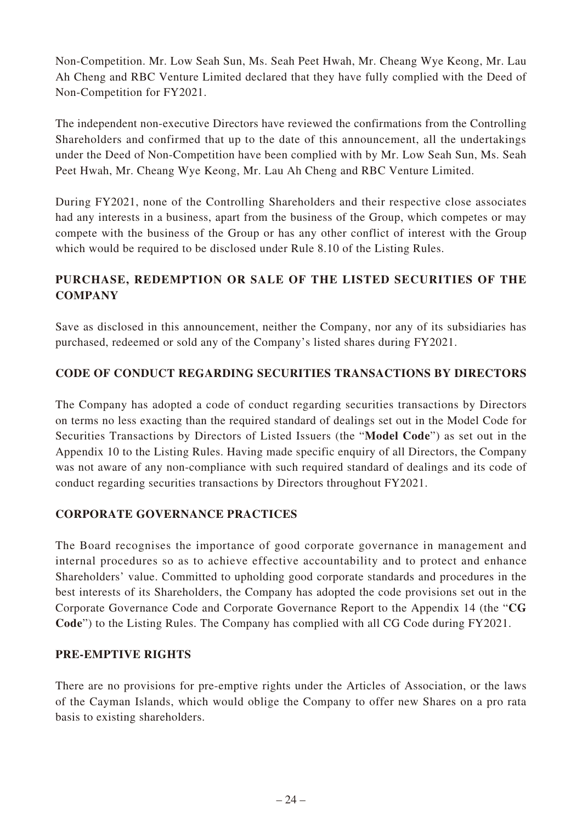Non-Competition. Mr. Low Seah Sun, Ms. Seah Peet Hwah, Mr. Cheang Wye Keong, Mr. Lau Ah Cheng and RBC Venture Limited declared that they have fully complied with the Deed of Non-Competition for FY2021.

The independent non-executive Directors have reviewed the confirmations from the Controlling Shareholders and confirmed that up to the date of this announcement, all the undertakings under the Deed of Non-Competition have been complied with by Mr. Low Seah Sun, Ms. Seah Peet Hwah, Mr. Cheang Wye Keong, Mr. Lau Ah Cheng and RBC Venture Limited.

During FY2021, none of the Controlling Shareholders and their respective close associates had any interests in a business, apart from the business of the Group, which competes or may compete with the business of the Group or has any other conflict of interest with the Group which would be required to be disclosed under Rule 8.10 of the Listing Rules.

# **PURCHASE, REDEMPTION OR SALE OF THE LISTED SECURITIES OF THE COMPANY**

Save as disclosed in this announcement, neither the Company, nor any of its subsidiaries has purchased, redeemed or sold any of the Company's listed shares during FY2021.

# **CODE OF CONDUCT REGARDING SECURITIES TRANSACTIONS BY DIRECTORS**

The Company has adopted a code of conduct regarding securities transactions by Directors on terms no less exacting than the required standard of dealings set out in the Model Code for Securities Transactions by Directors of Listed Issuers (the "**Model Code**") as set out in the Appendix 10 to the Listing Rules. Having made specific enquiry of all Directors, the Company was not aware of any non-compliance with such required standard of dealings and its code of conduct regarding securities transactions by Directors throughout FY2021.

# **CORPORATE GOVERNANCE PRACTICES**

The Board recognises the importance of good corporate governance in management and internal procedures so as to achieve effective accountability and to protect and enhance Shareholders' value. Committed to upholding good corporate standards and procedures in the best interests of its Shareholders, the Company has adopted the code provisions set out in the Corporate Governance Code and Corporate Governance Report to the Appendix 14 (the "**CG Code**") to the Listing Rules. The Company has complied with all CG Code during FY2021.

# **PRE-EMPTIVE RIGHTS**

There are no provisions for pre-emptive rights under the Articles of Association, or the laws of the Cayman Islands, which would oblige the Company to offer new Shares on a pro rata basis to existing shareholders.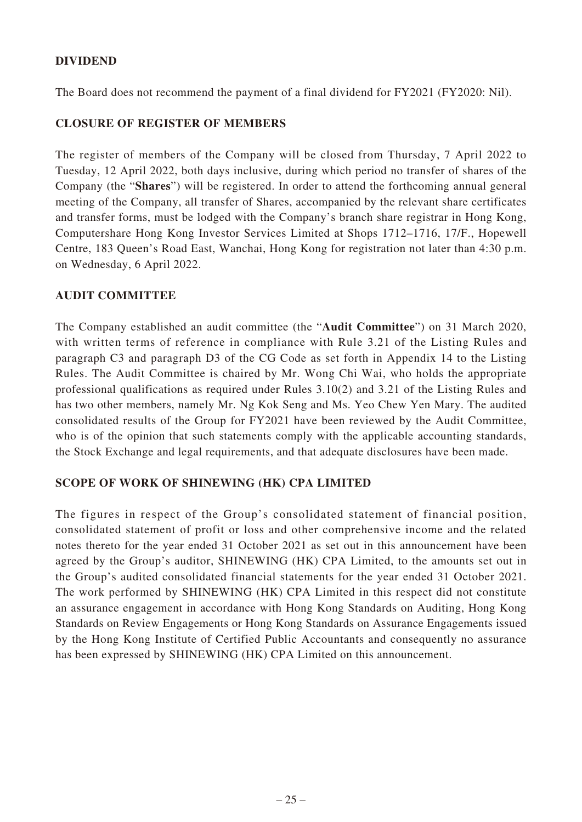# **DIVIDEND**

The Board does not recommend the payment of a final dividend for FY2021 (FY2020: Nil).

### **CLOSURE OF REGISTER OF MEMBERS**

The register of members of the Company will be closed from Thursday, 7 April 2022 to Tuesday, 12 April 2022, both days inclusive, during which period no transfer of shares of the Company (the "**Shares**") will be registered. In order to attend the forthcoming annual general meeting of the Company, all transfer of Shares, accompanied by the relevant share certificates and transfer forms, must be lodged with the Company's branch share registrar in Hong Kong, Computershare Hong Kong Investor Services Limited at Shops 1712–1716, 17/F., Hopewell Centre, 183 Queen's Road East, Wanchai, Hong Kong for registration not later than 4:30 p.m. on Wednesday, 6 April 2022.

### **AUDIT COMMITTEE**

The Company established an audit committee (the "**Audit Committee**") on 31 March 2020, with written terms of reference in compliance with Rule 3.21 of the Listing Rules and paragraph C3 and paragraph D3 of the CG Code as set forth in Appendix 14 to the Listing Rules. The Audit Committee is chaired by Mr. Wong Chi Wai, who holds the appropriate professional qualifications as required under Rules 3.10(2) and 3.21 of the Listing Rules and has two other members, namely Mr. Ng Kok Seng and Ms. Yeo Chew Yen Mary. The audited consolidated results of the Group for FY2021 have been reviewed by the Audit Committee, who is of the opinion that such statements comply with the applicable accounting standards, the Stock Exchange and legal requirements, and that adequate disclosures have been made.

# **SCOPE OF WORK OF SHINEWING (HK) CPA LIMITED**

The figures in respect of the Group's consolidated statement of financial position, consolidated statement of profit or loss and other comprehensive income and the related notes thereto for the year ended 31 October 2021 as set out in this announcement have been agreed by the Group's auditor, SHINEWING (HK) CPA Limited, to the amounts set out in the Group's audited consolidated financial statements for the year ended 31 October 2021. The work performed by SHINEWING (HK) CPA Limited in this respect did not constitute an assurance engagement in accordance with Hong Kong Standards on Auditing, Hong Kong Standards on Review Engagements or Hong Kong Standards on Assurance Engagements issued by the Hong Kong Institute of Certified Public Accountants and consequently no assurance has been expressed by SHINEWING (HK) CPA Limited on this announcement.